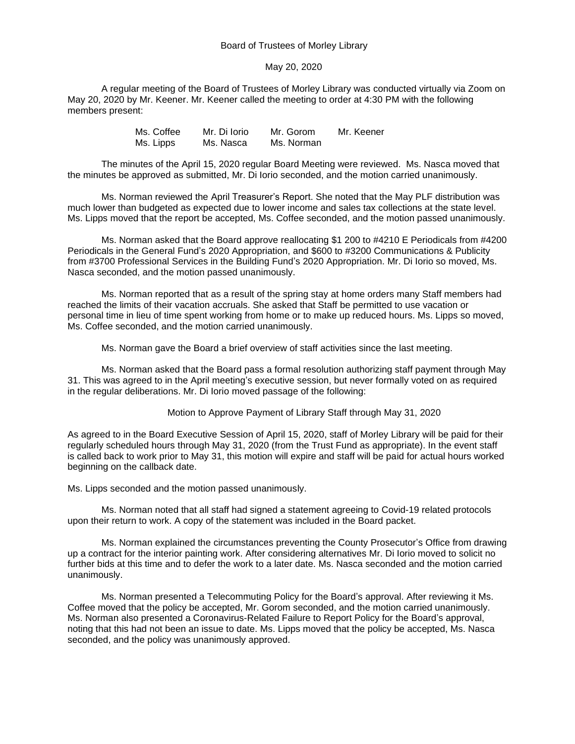## Board of Trustees of Morley Library

## May 20, 2020

A regular meeting of the Board of Trustees of Morley Library was conducted virtually via Zoom on May 20, 2020 by Mr. Keener. Mr. Keener called the meeting to order at 4:30 PM with the following members present:

| Ms. Coffee | Mr. Di Iorio | Mr. Gorom  | Mr. Keener |
|------------|--------------|------------|------------|
| Ms. Lipps  | Ms. Nasca    | Ms. Norman |            |

The minutes of the April 15, 2020 regular Board Meeting were reviewed. Ms. Nasca moved that the minutes be approved as submitted, Mr. Di Iorio seconded, and the motion carried unanimously.

Ms. Norman reviewed the April Treasurer's Report. She noted that the May PLF distribution was much lower than budgeted as expected due to lower income and sales tax collections at the state level. Ms. Lipps moved that the report be accepted, Ms. Coffee seconded, and the motion passed unanimously.

Ms. Norman asked that the Board approve reallocating \$1 200 to #4210 E Periodicals from #4200 Periodicals in the General Fund's 2020 Appropriation, and \$600 to #3200 Communications & Publicity from #3700 Professional Services in the Building Fund's 2020 Appropriation. Mr. Di Iorio so moved, Ms. Nasca seconded, and the motion passed unanimously.

Ms. Norman reported that as a result of the spring stay at home orders many Staff members had reached the limits of their vacation accruals. She asked that Staff be permitted to use vacation or personal time in lieu of time spent working from home or to make up reduced hours. Ms. Lipps so moved, Ms. Coffee seconded, and the motion carried unanimously.

Ms. Norman gave the Board a brief overview of staff activities since the last meeting.

Ms. Norman asked that the Board pass a formal resolution authorizing staff payment through May 31. This was agreed to in the April meeting's executive session, but never formally voted on as required in the regular deliberations. Mr. Di Iorio moved passage of the following:

Motion to Approve Payment of Library Staff through May 31, 2020

As agreed to in the Board Executive Session of April 15, 2020, staff of Morley Library will be paid for their regularly scheduled hours through May 31, 2020 (from the Trust Fund as appropriate). In the event staff is called back to work prior to May 31, this motion will expire and staff will be paid for actual hours worked beginning on the callback date.

Ms. Lipps seconded and the motion passed unanimously.

Ms. Norman noted that all staff had signed a statement agreeing to Covid-19 related protocols upon their return to work. A copy of the statement was included in the Board packet.

Ms. Norman explained the circumstances preventing the County Prosecutor's Office from drawing up a contract for the interior painting work. After considering alternatives Mr. Di Iorio moved to solicit no further bids at this time and to defer the work to a later date. Ms. Nasca seconded and the motion carried unanimously.

Ms. Norman presented a Telecommuting Policy for the Board's approval. After reviewing it Ms. Coffee moved that the policy be accepted, Mr. Gorom seconded, and the motion carried unanimously. Ms. Norman also presented a Coronavirus-Related Failure to Report Policy for the Board's approval, noting that this had not been an issue to date. Ms. Lipps moved that the policy be accepted, Ms. Nasca seconded, and the policy was unanimously approved.